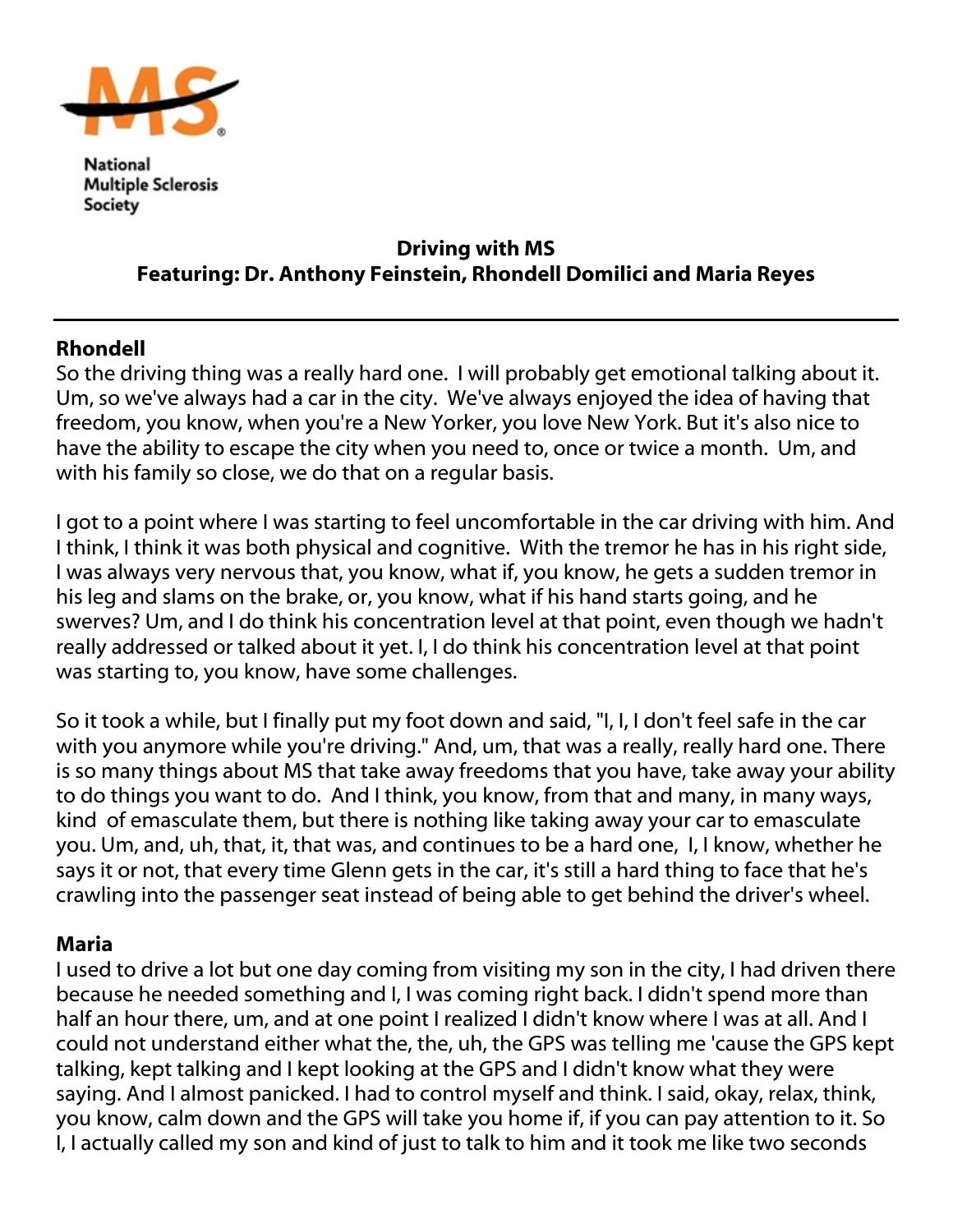

National **Multiple Sclerosis** Society

## Driving with MS Featuring: Dr. Anthony Feinstein, Rhondell Domilici and Maria Reyes

## Rhondell

So the driving thing was a really hard one. I will probably get emotional talking about it. Um, so we've always had a car in the city. We've always enjoyed the idea of having that freedom, you know, when you're a New Yorker, you love New York. But it's also nice to have the ability to escape the city when you need to, once or twice a month. Um, and with his family so close, we do that on a regular basis.

I got to a point where I was starting to feel uncomfortable in the car driving with him. And I think, I think it was both physical and cognitive. With the tremor he has in his right side, I was always very nervous that, you know, what if, you know, he gets a sudden tremor in his leg and slams on the brake, or, you know, what if his hand starts going, and he swerves? Um, and I do think his concentration level at that point, even though we hadn't really addressed or talked about it yet. I, I do think his concentration level at that point was starting to, you know, have some challenges.

So it took a while, but I finally put my foot down and said, "I, I, I don't feel safe in the car with you anymore while you're driving." And, um, that was a really, really hard one. There is so many things about MS that take away freedoms that you have, take away your ability to do things you want to do. And I think, you know, from that and many, in many ways, kind of emasculate them, but there is nothing like taking away your car to emasculate you. Um, and, uh, that, it, that was, and continues to be a hard one, I, I know, whether he says it or not, that every time Glenn gets in the car, it's still a hard thing to face that he's crawling into the passenger seat instead of being able to get behind the driver's wheel.

## Maria

I used to drive a lot but one day coming from visiting my son in the city, I had driven there because he needed something and I, I was coming right back. I didn't spend more than half an hour there, um, and at one point I realized I didn't know where I was at all. And I could not understand either what the, the, uh, the GPS was telling me 'cause the GPS kept talking, kept talking and I kept looking at the GPS and I didn't know what they were saying. And I almost panicked. I had to control myself and think. I said, okay, relax, think, you know, calm down and the GPS will take you home if, if you can pay attention to it. So I, I actually called my son and kind of just to talk to him and it took me like two seconds